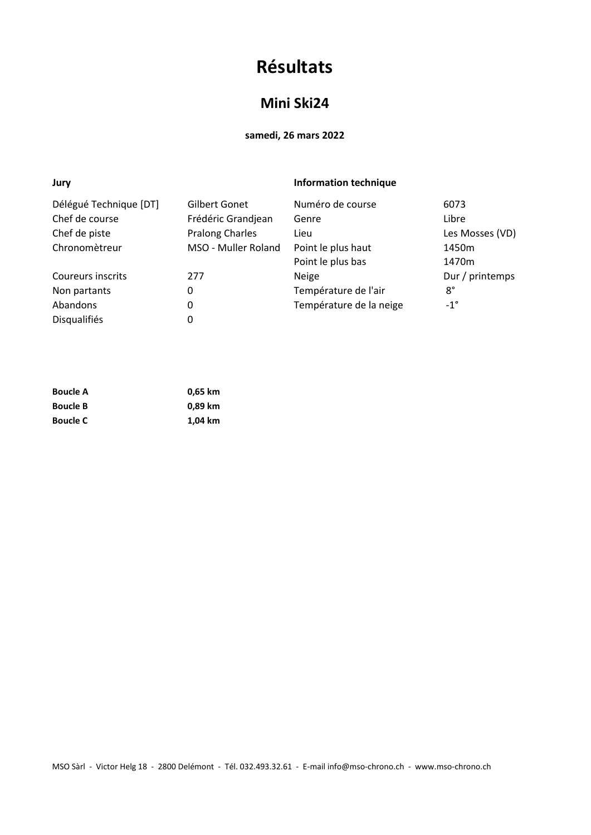# Résultats

## Mini Ski24

### samedi, 26 mars 2022

## Jury **Information technique**

| Délégué Technique [DT]   | Gilbert Gonet          | Numéro de course        | 6073            |  |  |
|--------------------------|------------------------|-------------------------|-----------------|--|--|
| Chef de course           | Frédéric Grandjean     | Genre                   | Libre           |  |  |
| Chef de piste            | <b>Pralong Charles</b> | Lieu                    | Les Mosses (VD) |  |  |
| Chronomètreur            | MSO - Muller Roland    | Point le plus haut      | 1450m           |  |  |
|                          |                        | Point le plus bas       | 1470m           |  |  |
| <b>Coureurs inscrits</b> | 277                    | Neige                   | Dur / printemps |  |  |
| Non partants             | 0                      | Température de l'air    | $8^\circ$       |  |  |
| Abandons                 | 0                      | Température de la neige | $-1^{\circ}$    |  |  |
| <b>Disqualifiés</b>      | 0                      |                         |                 |  |  |

| <b>Boucle A</b> | 0,65 km |
|-----------------|---------|
| <b>Boucle B</b> | 0.89 km |
| <b>Boucle C</b> | 1,04 km |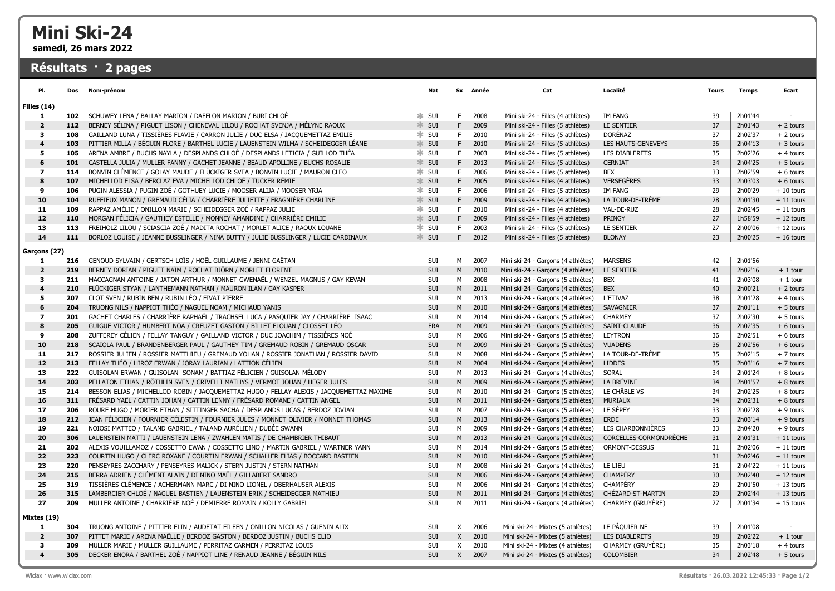# Mini Ski-24

samedi, 26 mars 2022

## Résultats · 2 pages

| PI.                     | Dos | Nom-prénom                                                                               | Nat               |              | Sx Année | Cat                                | Localité               | Tours | <b>Temps</b> | Ecart       |
|-------------------------|-----|------------------------------------------------------------------------------------------|-------------------|--------------|----------|------------------------------------|------------------------|-------|--------------|-------------|
| Filles (14)             |     |                                                                                          |                   |              |          |                                    |                        |       |              |             |
| 1                       | 102 | SCHUWEY LENA / BALLAY MARION / DAFFLON MARION / BURI CHLOÉ                               | $*$ SUI           | F.           | 2008     | Mini ski-24 - Filles (4 athlètes)  | <b>IM FANG</b>         | 39    | 2h01'44      |             |
| $\overline{2}$          | 112 | BERNEY SÉLINA / PIGUET LISON / CHENEVAL LILOU / ROCHAT SVENJA / MÉLYNE RAOUX             | $*$ SUI           | F.           | 2009     | Mini ski-24 - Filles (5 athlètes)  | <b>LE SENTIER</b>      | 37    | 2h01'43      | $+2$ tours  |
| $\overline{\mathbf{3}}$ | 108 | GAILLAND LUNA / TISSIÈRES FLAVIE / CARRON JULIE / DUC ELSA / JACQUEMETTAZ EMILIE         | $*$ SUI           | F.           | 2010     | Mini ski-24 - Filles (5 athlètes)  | <b>DORÉNAZ</b>         | 37    | 2h02'37      | $+2$ tours  |
| $\overline{\mathbf{4}}$ | 103 | PITTIER MILLA / BÉGUIN FLORE / BARTHEL LUCIE / LAUENSTEIN WILMA / SCHEIDEGGER LÉANE      | $*$ SUI           | F.           | 2010     | Mini ski-24 - Filles (5 athlètes)  | LES HAUTS-GENEVEYS     | 36    | 2h04'13      | $+3$ tours  |
| 5                       | 105 | ARENA AMBRE / BUCHS NAYLA / DESPLANDS CHLOÉ / DESPLANDS LETICIA / GUILLOD THÉA           | $*$ SUI           | F.           | 2003     | Mini ski-24 - Filles (5 athlètes)  | <b>LES DIABLERETS</b>  | 35    | 2h02'26      | $+4$ tours  |
| 6                       | 101 | CASTELLA JULIA / MULLER FANNY / GACHET JEANNE / BEAUD APOLLINE / BUCHS ROSALIE           | $*$ SUI           | F.           | 2013     | Mini ski-24 - Filles (5 athlètes)  | <b>CERNIAT</b>         | 34    | 2h04'25      | $+5$ tours  |
| $\overline{7}$          | 114 | BONVIN CLÉMENCE / GOLAY MAUDE / FLÜCKIGER SVEA / BONVIN LUCIE / MAURON CLEO              | $*$ SUI           | F            | 2006     | Mini ski-24 - Filles (5 athlètes)  | <b>BEX</b>             | 33    | 2h02'59      | $+6$ tours  |
| 8                       | 107 | MICHELLOD ELSA / BERCLAZ EVA / MICHELLOD CHLOÉ / TUCKER RÉMIE                            | $*$ SUI           | F            | 2005     | Mini ski-24 - Filles (4 athlètes)  | <b>VERSEGÈRES</b>      | 33    | 2h03'03      | $+6$ tours  |
| 9                       | 106 | PUGIN ALESSIA / PUGIN ZOÉ / GOTHUEY LUCIE / MOOSER ALIJA / MOOSER YRJA                   | $*$ SUI           | F.           | 2006     | Mini ski-24 - Filles (5 athlètes)  | IM FANG                | 29    | 2h00'29      | $+10$ tours |
| 10                      | 104 | RUFFIEUX MANON / GREMAUD CÉLIA / CHARRIÈRE JULIETTE / FRAGNIÈRE CHARLINE                 | $*$ SUI           | F            | 2009     | Mini ski-24 - Filles (4 athlètes)  | LA TOUR-DE-TRÊME       | 28    | 2h01'30      | $+11$ tours |
| 11                      | 109 | RAPPAZ AMÉLIE / ONILLON MARIE / SCHEIDEGGER ZOÉ / RAPPAZ JULIE                           | $*$ SUI           | F.           | 2010     | Mini ski-24 - Filles (4 athlètes)  | VAL-DE-RUZ             | 28    | 2h02'45      | $+11$ tours |
| 12                      | 110 | MORGAN FÉLICIA / GAUTHEY ESTELLE / MONNEY AMANDINE / CHARRIÈRE EMILIE                    | $*$ SUI           | F.           | 2009     | Mini ski-24 - Filles (4 athlètes)  | PRINGY                 | 27    | 1h58'59      | $+12$ tours |
| 13                      | 113 | FREIHOLZ LILOU / SCIASCIA ZOÉ / MADITA ROCHAT / MORLET ALICE / RAOUX LOUANE              | $*$ SUI           | F.           | 2003     | Mini ski-24 - Filles (5 athlètes)  | LE SENTIER             | 27    | 2h00'06      | $+12$ tours |
| 14                      | 111 | BORLOZ LOUISE / JEANNE BUSSLINGER / NINA BUTTY / JULIE BUSSLINGER / LUCIE CARDINAUX      | $\frac{1}{2}$ SUI | F.           | 2012     | Mini ski-24 - Filles (5 athlètes)  | <b>BLONAY</b>          | 23    | 2h00'25      | $+16$ tours |
|                         |     |                                                                                          |                   |              |          |                                    |                        |       |              |             |
| Garçons (27)            |     |                                                                                          |                   |              |          |                                    |                        |       |              |             |
| 1                       | 216 | GENOUD SYLVAIN / GERTSCH LOÏS / HOËL GUILLAUME / JENNI GAËTAN                            | <b>SUI</b>        | M            | 2007     | Mini ski-24 - Garcons (4 athlètes) | <b>MARSENS</b>         | 42    | 2h01'56      | $\sim$      |
| $\overline{2}$          | 219 | BERNEY DORIAN / PIGUET NAÏM / ROCHAT BJÖRN / MORLET FLORENT                              | SUI               | M            | 2010     | Mini ski-24 - Garcons (4 athlètes) | LE SENTIER             | 41    | 2h02'16      | $+1$ tour   |
| 3                       | 211 | MACCAGNAN ANTOINE / JATON ARTHUR / MONNET GWENAËL / WENZEL MAGNUS / GAY KEVAN            | <b>SUI</b>        | M            | 2008     | Mini ski-24 - Garcons (5 athlètes) | <b>BEX</b>             | 41    | 2h03'08      | $+1$ tour   |
| $\overline{\mathbf{4}}$ | 210 | FLÜCKIGER STYAN / LANTHEMANN NATHAN / MAURON ILAN / GAY KASPER                           | SUI               | M            | 2011     | Mini ski-24 - Garçons (4 athlètes) | <b>BEX</b>             | 40    | 2h00'21      | $+2$ tours  |
| 5                       | 207 | CLOT SVEN / RUBIN BEN / RUBIN LÉO / FIVAT PIERRE                                         | <b>SUI</b>        | M            | 2013     | Mini ski-24 - Garcons (4 athlètes) | L'ETIVAZ               | 38    | 2h01'28      | $+4$ tours  |
| 6                       | 204 | TRUONG NILS / NAPPIOT THÉO / NAGUEL NOAM / MICHAUD YANIS                                 | SUI               | M            | 2010     | Mini ski-24 - Garçons (4 athlètes) | SAVAGNIER              | 37    | 2h01'11      | $+5$ tours  |
| $\overline{ }$          | 201 | GACHET CHARLES / CHARRIÈRE RAPHAËL / TRACHSEL LUCA / PASQUIER JAY / CHARRIÈRE ISAAC      | SUI               | M            | 2014     | Mini ski-24 - Garcons (5 athlètes) | <b>CHARMEY</b>         | 37    | 2h02'30      | $+5$ tours  |
| 8                       | 205 | GUIGUE VICTOR / HUMBERT NOA / CREUZET GASTON / BILLET ELOUAN / CLOSSET LÉO               | <b>FRA</b>        | M            | 2009     | Mini ski-24 - Garçons (5 athlètes) | SAINT-CLAUDE           | 36    | 2h02'35      | $+6$ tours  |
| 9                       | 208 | ZUFFEREY CÉLIEN / FELLAY TANGUY / GAILLAND VICTOR / DUC JOACHIM / TISSIÈRES NOÉ          | SUI               | M            | 2006     | Mini ski-24 - Garcons (5 athlètes) | <b>LEYTRON</b>         | 36    | 2h02'51      | $+6$ tours  |
| 10                      | 218 | SCAIOLA PAUL / BRANDENBERGER PAUL / GAUTHEY TIM / GREMAUD ROBIN / GREMAUD OSCAR          | SUI               | M            | 2009     | Mini ski-24 - Garcons (5 athlètes) | <b>VUADENS</b>         | 36    | 2h02'56      | $+6$ tours  |
| 11                      | 217 | ROSSIER JULIEN / ROSSIER MATTHIEU / GREMAUD YOHAN / ROSSIER JONATHAN / ROSSIER DAVID     | SUI               | M            | 2008     | Mini ski-24 - Garcons (5 athlètes) | LA TOUR-DE-TRÊME       | 35    | 2h02'15      | $+7$ tours  |
| 12                      | 213 | FELLAY THÉO / HIROZ ERWAN / JORAY LAURIAN / LATTION CÉLIEN                               | <b>SUI</b>        | M            | 2004     | Mini ski-24 - Garçons (4 athlètes) | <b>LIDDES</b>          | 35    | 2h03'16      | $+7$ tours  |
| 13                      | 222 | GUISOLAN ERWAN / GUISOLAN SONAM / BATTIAZ FÉLICIEN / GUISOLAN MÉLODY                     | SUI               | M            | 2013     | Mini ski-24 - Garçons (4 athlètes) | SORAL                  | 34    | 2h01'24      | $+8$ tours  |
| 14                      | 203 | PELLATON ETHAN / RÖTHLIN SVEN / CRIVELLI MATHYS / VERMOT JOHAN / HEGER JULES             | <b>SUI</b>        | M            | 2009     | Mini ski-24 - Garçons (5 athlètes) | LA BRÉVINE             | 34    | 2h01'57      | $+8$ tours  |
| 15                      | 214 | BESSON ELIAS / MICHELLOD ROBIN / JACQUEMETTAZ HUGO / FELLAY ALEXIS / JACQUEMETTAZ MAXIME | <b>SUI</b>        | M            | 2010     | Mini ski-24 - Garcons (5 athlètes) | LE CHÂBLE VS           | 34    | 2h02'25      | $+8$ tours  |
| 16                      | 311 | FRÉSARD YAËL / CATTIN JOHAN / CATTIN LENNY / FRÉSARD ROMANE / CATTIN ANGEL               | <b>SUI</b>        | M            | 2011     | Mini ski-24 - Garçons (5 athlètes) | <b>MURIAUX</b>         | 34    | 2h02'31      | $+8$ tours  |
| 17                      | 206 | ROURE HUGO / MORIER ETHAN / SITTINGER SACHA / DESPLANDS LUCAS / BERDOZ JOVIAN            | <b>SUI</b>        | M            | 2007     | Mini ski-24 - Garçons (5 athlètes) | LE SÉPEY               | 33    | 2h02'28      | $+9$ tours  |
| 18                      | 212 | JEAN FÉLICIEN / FOURNIER CÉLESTIN / FOURNIER JULES / MONNET OLIVIER / MONNET THOMAS      | SUI               | M            | 2013     | Mini ski-24 - Garçons (5 athlètes) | ERDE                   | 33    | 2h03'14      | $+9$ tours  |
| 19                      | 221 | NOIOSI MATTEO / TALAND GABRIEL / TALAND AURÉLIEN / DUBÉE SWANN                           | SUI               | M            | 2009     | Mini ski-24 - Garcons (4 athlètes) | LES CHARBONNIÈRES      | 33    | 2h04'20      | $+9$ tours  |
| 20                      | 306 | LAUENSTEIN MATTI / LAUENSTEIN LENA / ZWAHLEN MATIS / DE CHAMBRIER THIBAUT                | SUI               | M            | 2013     | Mini ski-24 - Garçons (4 athlètes) | CORCELLES-CORMONDRÈCHE | 31    | 2h01'31      | $+11$ tours |
| 21                      | 202 | ALEXIS VOUILLAMOZ / COSSETTO EWAN / COSSETTO LINO / MARTIN GABRIEL / WARTNER YANN        | SUI               | M            | 2014     | Mini ski-24 - Garçons (5 athlètes) | ORMONT-DESSUS          | 31    | 2h02'06      | $+11$ tours |
| 22                      | 223 | COURTIN HUGO / CLERC ROXANE / COURTIN ERWAN / SCHALLER ELIAS / BOCCARD BASTIEN           | SUI               | M            | 2010     | Mini ski-24 - Garçons (5 athlètes) |                        | 31    | 2h02'46      | $+11$ tours |
| 23                      | 220 | PENSEYRES ZACCHARY / PENSEYRES MALICK / STERN JUSTIN / STERN NATHAN                      | SUI               | M            | 2008     | Mini ski-24 - Garcons (4 athlètes) | LE LIEU                | 31    | 2h04'22      | $+11$ tours |
| 24                      | 215 | BERRA ADRIEN / CLÉMENT ALAIN / DI NINO MAËL / GILLABERT SANDRO                           | SUI               | M            | 2006     | Mini ski-24 - Garçons (4 athlètes) | CHAMPERY               | 30    | 2h02'40      | $+12$ tours |
| 25                      | 319 | TISSIÈRES CLÉMENCE / ACHERMANN MARC / DI NINO LIONEL / OBERHAUSER ALEXIS                 | SUI               | M            | 2006     | Mini ski-24 - Garçons (4 athlètes) | CHAMPÉRY               | 29    | 2h01'50      | $+13$ tours |
| 26                      | 315 | LAMBERCIER CHLOÉ / NAGUEL BASTIEN / LAUENSTEIN ERIK / SCHEIDEGGER MATHIEU                | SUI               | M            | 2011     | Mini ski-24 - Garçons (4 athlètes) | CHÉZARD-ST-MARTIN      | 29    | 2h02'44      | $+13$ tours |
| 27                      | 209 | MULLER ANTOINE / CHARRIÈRE NOÉ / DEMIERRE ROMAIN / KOLLY GABRIEL                         | SUI               | M            | 2011     | Mini ski-24 - Garçons (4 athlètes) | CHARMEY (GRUYÈRE)      | 27    | 2h01'34      | $+15$ tours |
| Mixtes (19)             |     |                                                                                          |                   |              |          |                                    |                        |       |              |             |
| $\mathbf{1}$            | 304 | TRUONG ANTOINE / PITTIER ELIN / AUDETAT EILEEN / ONILLON NICOLAS / GUENIN ALIX           | SUI               | X            | 2006     | Mini ski-24 - Mixtes (5 athlètes)  | LE PÂQUIER NE          | 39    | 2h01'08      | $\sim$      |
| $\overline{2}$          | 307 | PITTET MARIE / ARENA MAËLLE / BERDOZ GASTON / BERDOZ JUSTIN / BUCHS ELIO                 | SUI               | $\mathsf X$  | 2010     | Mini ski-24 - Mixtes (5 athlètes)  | <b>LES DIABLERETS</b>  | 38    | 2h02'22      | $+1$ tour   |
| $\overline{\mathbf{3}}$ | 309 | MULLER MARIE / MULLER GUILLAUME / PERRITAZ CARMEN / PERRITAZ LOUIS                       | SUI               | X            | 2010     | Mini ski-24 - Mixtes (4 athlètes)  | CHARMEY (GRUYÈRE)      | 35    | 2h03'18      | $+4$ tours  |
| $\overline{4}$          | 305 | DECKER ENORA / BARTHEL ZOÉ / NAPPIOT LINE / RENAUD JEANNE / BÉGUIN NILS                  | <b>SUI</b>        | $\mathsf{X}$ | 2007     | Mini ski-24 - Mixtes (5 athlètes)  | <b>COLOMBIER</b>       | 34    | 2h02'48      | $+5$ tours  |
|                         |     |                                                                                          |                   |              |          |                                    |                        |       |              |             |